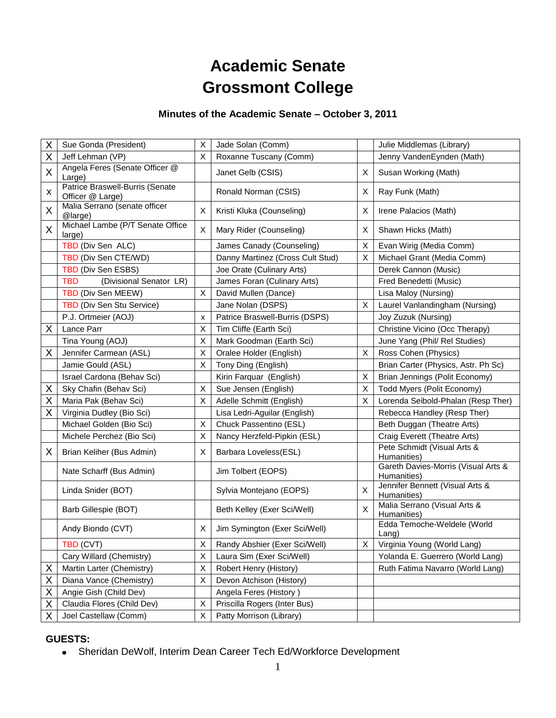# **Academic Senate Grossmont College**

## **Minutes of the Academic Senate – October 3, 2011**

| Χ | Sue Gonda (President)                               | Χ           | Jade Solan (Comm)                |    | Julie Middlemas (Library)                          |
|---|-----------------------------------------------------|-------------|----------------------------------|----|----------------------------------------------------|
| Χ | Jeff Lehman (VP)                                    | X           | Roxanne Tuscany (Comm)           |    | Jenny VandenEynden (Math)                          |
| X | Angela Feres (Senate Officer @<br>Large)            |             | Janet Gelb (CSIS)                | X. | Susan Working (Math)                               |
| X | Patrice Braswell-Burris (Senate<br>Officer @ Large) |             | Ronald Norman (CSIS)             | X  | Ray Funk (Math)                                    |
| X | Malia Serrano (senate officer<br>@large)            | X           | Kristi Kluka (Counseling)        | X  | Irene Palacios (Math)                              |
| X | Michael Lambe (P/T Senate Office<br>large)          | X           | Mary Rider (Counseling)          | X  | Shawn Hicks (Math)                                 |
|   | TBD (Div Sen ALC)                                   |             | James Canady (Counseling)        | X  | Evan Wirig (Media Comm)                            |
|   | TBD (Div Sen CTE/WD)                                |             | Danny Martinez (Cross Cult Stud) | X  | Michael Grant (Media Comm)                         |
|   | TBD (Div Sen ESBS)                                  |             | Joe Orate (Culinary Arts)        |    | Derek Cannon (Music)                               |
|   | <b>TBD</b><br>(Divisional Senator LR)               |             | James Foran (Culinary Arts)      |    | Fred Benedetti (Music)                             |
|   | TBD (Div Sen MEEW)                                  | X           | David Mullen (Dance)             |    | Lisa Maloy (Nursing)                               |
|   | TBD (Div Sen Stu Service)                           |             | Jane Nolan (DSPS)                | X  | Laurel Vanlandingham (Nursing)                     |
|   | P.J. Ortmeier (AOJ)                                 | x           | Patrice Braswell-Burris (DSPS)   |    | Joy Zuzuk (Nursing)                                |
| Χ | Lance Parr                                          | X           | Tim Cliffe (Earth Sci)           |    | Christine Vicino (Occ Therapy)                     |
|   | Tina Young (AOJ)                                    | X           | Mark Goodman (Earth Sci)         |    | June Yang (Phil/ Rel Studies)                      |
| X | Jennifer Carmean (ASL)                              | X           | Oralee Holder (English)          | X  | Ross Cohen (Physics)                               |
|   | Jamie Gould (ASL)                                   | X           | Tony Ding (English)              |    | Brian Carter (Physics, Astr. Ph Sc)                |
|   | Israel Cardona (Behav Sci)                          |             | Kirin Farquar (English)          | X  | Brian Jennings (Polit Economy)                     |
| Χ | Sky Chafin (Behav Sci)                              | X           | Sue Jensen (English)             | X  | Todd Myers (Polit Economy)                         |
| X | Maria Pak (Behav Sci)                               | X           | Adelle Schmitt (English)         | X  | Lorenda Seibold-Phalan (Resp Ther)                 |
| Χ | Virginia Dudley (Bio Sci)                           |             | Lisa Ledri-Aguilar (English)     |    | Rebecca Handley (Resp Ther)                        |
|   | Michael Golden (Bio Sci)                            | $\mathsf X$ | Chuck Passentino (ESL)           |    | Beth Duggan (Theatre Arts)                         |
|   | Michele Perchez (Bio Sci)                           | X           | Nancy Herzfeld-Pipkin (ESL)      |    | Craig Everett (Theatre Arts)                       |
| X | Brian Keliher (Bus Admin)                           | Х           | Barbara Loveless(ESL)            |    | Pete Schmidt (Visual Arts &<br>Humanities)         |
|   | Nate Scharff (Bus Admin)                            |             | Jim Tolbert (EOPS)               |    | Gareth Davies-Morris (Visual Arts &<br>Humanities) |
|   | Linda Snider (BOT)                                  |             | Sylvia Montejano (EOPS)          | X  | Jennifer Bennett (Visual Arts &<br>Humanities)     |
|   | Barb Gillespie (BOT)                                |             | Beth Kelley (Exer Sci/Well)      | X  | Malia Serrano (Visual Arts &<br>Humanities)        |
|   | Andy Biondo (CVT)                                   | X           | Jim Symington (Exer Sci/Well)    |    | Edda Temoche-Weldele (World<br>Lang)               |
|   | TBD (CVT)                                           | X           | Randy Abshier (Exer Sci/Well)    | Χ  | Virginia Young (World Lang)                        |
|   | Cary Willard (Chemistry)                            | X           | Laura Sim (Exer Sci/Well)        |    | Yolanda E. Guerrero (World Lang)                   |
| X | Martin Larter (Chemistry)                           | X           | Robert Henry (History)           |    | Ruth Fatima Navarro (World Lang)                   |
| X | Diana Vance (Chemistry)                             | X           | Devon Atchison (History)         |    |                                                    |
| Χ | Angie Gish (Child Dev)                              |             | Angela Feres (History)           |    |                                                    |
| Χ | Claudia Flores (Child Dev)                          | X           | Priscilla Rogers (Inter Bus)     |    |                                                    |
| Χ | Joel Castellaw (Comm)                               | X           | Patty Morrison (Library)         |    |                                                    |

#### **GUESTS:**

Sheridan DeWolf, Interim Dean Career Tech Ed/Workforce Development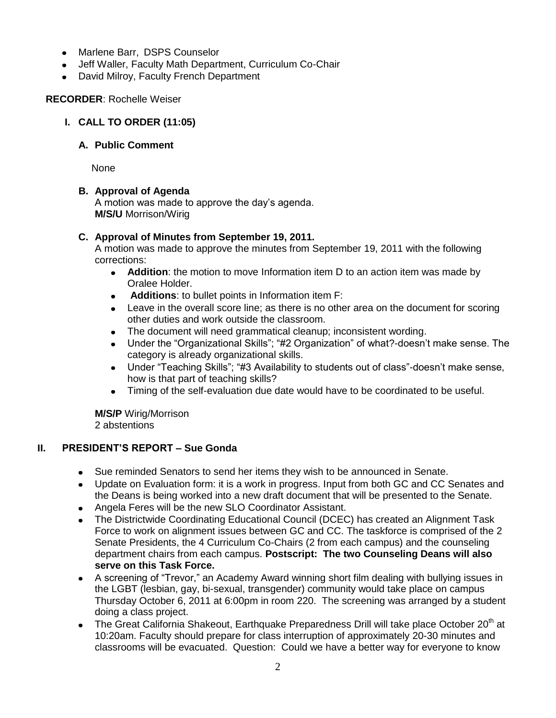- $\bullet$ Marlene Barr, DSPS Counselor
- Jeff Waller, Faculty Math Department, Curriculum Co-Chair
- David Milroy, Faculty French Department

#### **RECORDER**: Rochelle Weiser

#### **I. CALL TO ORDER (11:05)**

#### **A. Public Comment**

None

#### **B. Approval of Agenda**

A motion was made to approve the day's agenda. **M/S/U** Morrison/Wirig

#### **C. Approval of Minutes from September 19, 2011.**

A motion was made to approve the minutes from September 19, 2011 with the following corrections:

- **Addition**: the motion to move Information item D to an action item was made by Oralee Holder.
- **Additions**: to bullet points in Information item F:
- Leave in the overall score line; as there is no other area on the document for scoring other duties and work outside the classroom.
- The document will need grammatical cleanup; inconsistent wording.
- Under the "Organizational Skills"; "#2 Organization" of what?-doesn't make sense. The category is already organizational skills.
- Under "Teaching Skills"; "#3 Availability to students out of class"-doesn't make sense, how is that part of teaching skills?
- Timing of the self-evaluation due date would have to be coordinated to be useful.

**M/S/P** Wirig/Morrison 2 abstentions

#### **II. PRESIDENT'S REPORT – Sue Gonda**

- Sue reminded Senators to send her items they wish to be announced in Senate.
- Update on Evaluation form: it is a work in progress. Input from both GC and CC Senates and the Deans is being worked into a new draft document that will be presented to the Senate.
- Angela Feres will be the new SLO Coordinator Assistant.
- The Districtwide Coordinating Educational Council (DCEC) has created an Alignment Task Force to work on alignment issues between GC and CC. The taskforce is comprised of the 2 Senate Presidents, the 4 Curriculum Co-Chairs (2 from each campus) and the counseling department chairs from each campus. **Postscript: The two Counseling Deans will also serve on this Task Force.**
- A screening of "Trevor," an Academy Award winning short film dealing with bullying issues in  $\bullet$ the LGBT (lesbian, gay, bi-sexual, transgender) community would take place on campus Thursday October 6, 2011 at 6:00pm in room 220. The screening was arranged by a student doing a class project.
- The Great California Shakeout, Earthquake Preparedness Drill will take place October 20<sup>th</sup> at 10:20am. Faculty should prepare for class interruption of approximately 20-30 minutes and classrooms will be evacuated. Question: Could we have a better way for everyone to know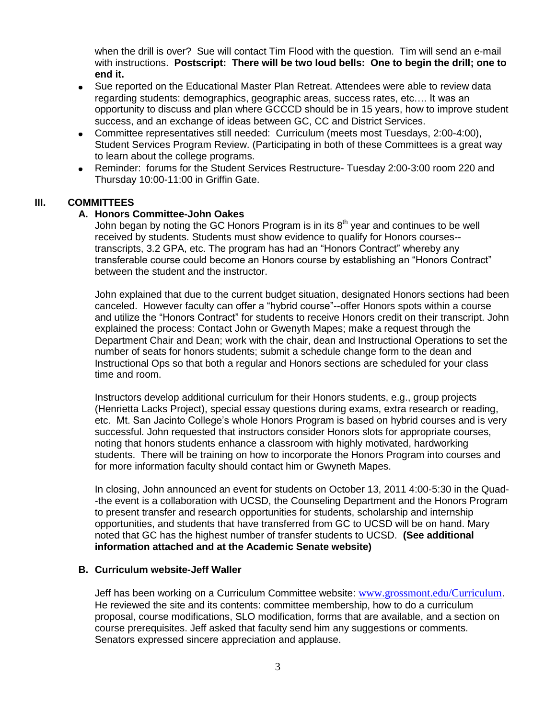when the drill is over? Sue will contact Tim Flood with the question. Tim will send an e-mail with instructions. **Postscript: There will be two loud bells: One to begin the drill; one to end it.**

- Sue reported on the Educational Master Plan Retreat. Attendees were able to review data regarding students: demographics, geographic areas, success rates, etc…. It was an opportunity to discuss and plan where GCCCD should be in 15 years, how to improve student success, and an exchange of ideas between GC, CC and District Services.
- Committee representatives still needed: Curriculum (meets most Tuesdays, 2:00-4:00), Student Services Program Review. (Participating in both of these Committees is a great way to learn about the college programs.
- Reminder: forums for the Student Services Restructure- Tuesday 2:00-3:00 room 220 and Thursday 10:00-11:00 in Griffin Gate.

#### **III. COMMITTEES**

#### **A. Honors Committee-John Oakes**

John began by noting the GC Honors Program is in its  $8<sup>th</sup>$  year and continues to be well received by students. Students must show evidence to qualify for Honors courses- transcripts, 3.2 GPA, etc. The program has had an "Honors Contract" whereby any transferable course could become an Honors course by establishing an "Honors Contract" between the student and the instructor.

John explained that due to the current budget situation, designated Honors sections had been canceled. However faculty can offer a "hybrid course"--offer Honors spots within a course and utilize the "Honors Contract" for students to receive Honors credit on their transcript. John explained the process: Contact John or Gwenyth Mapes; make a request through the Department Chair and Dean; work with the chair, dean and Instructional Operations to set the number of seats for honors students; submit a schedule change form to the dean and Instructional Ops so that both a regular and Honors sections are scheduled for your class time and room.

Instructors develop additional curriculum for their Honors students, e.g., group projects (Henrietta Lacks Project), special essay questions during exams, extra research or reading, etc. Mt. San Jacinto College's whole Honors Program is based on hybrid courses and is very successful. John requested that instructors consider Honors slots for appropriate courses, noting that honors students enhance a classroom with highly motivated, hardworking students. There will be training on how to incorporate the Honors Program into courses and for more information faculty should contact him or Gwyneth Mapes.

In closing, John announced an event for students on October 13, 2011 4:00-5:30 in the Quad- -the event is a collaboration with UCSD, the Counseling Department and the Honors Program to present transfer and research opportunities for students, scholarship and internship opportunities, and students that have transferred from GC to UCSD will be on hand. Mary noted that GC has the highest number of transfer students to UCSD. **(See additional information attached and at the Academic Senate website)**

#### **B. Curriculum website-Jeff Waller**

Jeff has been working on a Curriculum Committee website: [www.grossmont.edu/Curriculum](http://www.grossmont.edu/Curriculum). He reviewed the site and its contents: committee membership, how to do a curriculum proposal, course modifications, SLO modification, forms that are available, and a section on course prerequisites. Jeff asked that faculty send him any suggestions or comments. Senators expressed sincere appreciation and applause.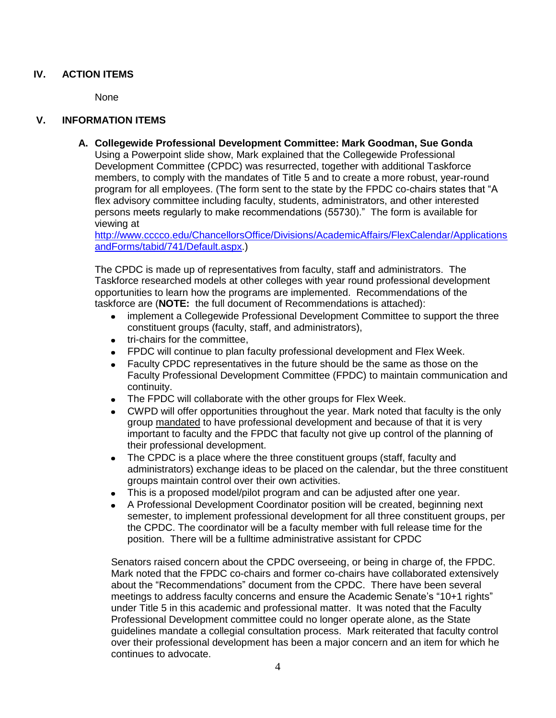#### **IV. ACTION ITEMS**

None

#### **V. INFORMATION ITEMS**

**A. Collegewide Professional Development Committee: Mark Goodman, Sue Gonda** Using a Powerpoint slide show, Mark explained that the Collegewide Professional Development Committee (CPDC) was resurrected, together with additional Taskforce members, to comply with the mandates of Title 5 and to create a more robust, year-round program for all employees. (The form sent to the state by the FPDC co-chairs states that "A flex advisory committee including faculty, students, administrators, and other interested persons meets regularly to make recommendations (55730)." The form is available for viewing at

[http://www.cccco.edu/ChancellorsOffice/Divisions/AcademicAffairs/FlexCalendar/Applications](http://www.cccco.edu/ChancellorsOffice/Divisions/AcademicAffairs/FlexCalendar/ApplicationsandForms/tabid/741/Default.aspx) [andForms/tabid/741/Default.aspx.](http://www.cccco.edu/ChancellorsOffice/Divisions/AcademicAffairs/FlexCalendar/ApplicationsandForms/tabid/741/Default.aspx))

The CPDC is made up of representatives from faculty, staff and administrators. The Taskforce researched models at other colleges with year round professional development opportunities to learn how the programs are implemented. Recommendations of the taskforce are (**NOTE:** the full document of Recommendations is attached):

- implement a Collegewide Professional Development Committee to support the three constituent groups (faculty, staff, and administrators),
- tri-chairs for the committee,
- FPDC will continue to plan faculty professional development and Flex Week.
- Faculty CPDC representatives in the future should be the same as those on the Faculty Professional Development Committee (FPDC) to maintain communication and continuity.
- The FPDC will collaborate with the other groups for Flex Week.  $\bullet$
- CWPD will offer opportunities throughout the year. Mark noted that faculty is the only group mandated to have professional development and because of that it is very important to faculty and the FPDC that faculty not give up control of the planning of their professional development.
- The CPDC is a place where the three constituent groups (staff, faculty and  $\bullet$ administrators) exchange ideas to be placed on the calendar, but the three constituent groups maintain control over their own activities.
- This is a proposed model/pilot program and can be adjusted after one year.  $\bullet$
- A Professional Development Coordinator position will be created, beginning next semester, to implement professional development for all three constituent groups, per the CPDC. The coordinator will be a faculty member with full release time for the position. There will be a fulltime administrative assistant for CPDC

Senators raised concern about the CPDC overseeing, or being in charge of, the FPDC. Mark noted that the FPDC co-chairs and former co-chairs have collaborated extensively about the "Recommendations" document from the CPDC. There have been several meetings to address faculty concerns and ensure the Academic Senate's "10+1 rights" under Title 5 in this academic and professional matter. It was noted that the Faculty Professional Development committee could no longer operate alone, as the State guidelines mandate a collegial consultation process. Mark reiterated that faculty control over their professional development has been a major concern and an item for which he continues to advocate.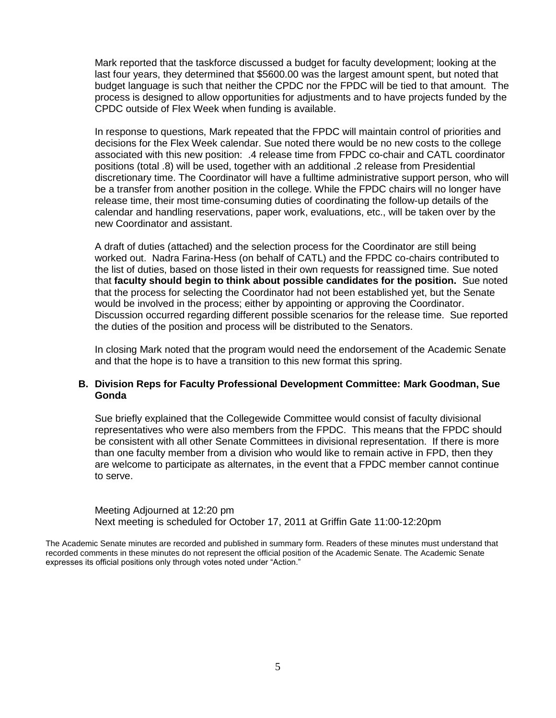Mark reported that the taskforce discussed a budget for faculty development; looking at the last four years, they determined that \$5600.00 was the largest amount spent, but noted that budget language is such that neither the CPDC nor the FPDC will be tied to that amount. The process is designed to allow opportunities for adjustments and to have projects funded by the CPDC outside of Flex Week when funding is available.

In response to questions, Mark repeated that the FPDC will maintain control of priorities and decisions for the Flex Week calendar. Sue noted there would be no new costs to the college associated with this new position: .4 release time from FPDC co-chair and CATL coordinator positions (total .8) will be used, together with an additional .2 release from Presidential discretionary time. The Coordinator will have a fulltime administrative support person, who will be a transfer from another position in the college. While the FPDC chairs will no longer have release time, their most time-consuming duties of coordinating the follow-up details of the calendar and handling reservations, paper work, evaluations, etc., will be taken over by the new Coordinator and assistant.

A draft of duties (attached) and the selection process for the Coordinator are still being worked out. Nadra Farina-Hess (on behalf of CATL) and the FPDC co-chairs contributed to the list of duties, based on those listed in their own requests for reassigned time. Sue noted that **faculty should begin to think about possible candidates for the position.** Sue noted that the process for selecting the Coordinator had not been established yet, but the Senate would be involved in the process; either by appointing or approving the Coordinator. Discussion occurred regarding different possible scenarios for the release time. Sue reported the duties of the position and process will be distributed to the Senators.

In closing Mark noted that the program would need the endorsement of the Academic Senate and that the hope is to have a transition to this new format this spring.

#### **B. Division Reps for Faculty Professional Development Committee: Mark Goodman, Sue Gonda**

Sue briefly explained that the Collegewide Committee would consist of faculty divisional representatives who were also members from the FPDC. This means that the FPDC should be consistent with all other Senate Committees in divisional representation. If there is more than one faculty member from a division who would like to remain active in FPD, then they are welcome to participate as alternates, in the event that a FPDC member cannot continue to serve.

Meeting Adjourned at 12:20 pm Next meeting is scheduled for October 17, 2011 at Griffin Gate 11:00-12:20pm

The Academic Senate minutes are recorded and published in summary form. Readers of these minutes must understand that recorded comments in these minutes do not represent the official position of the Academic Senate. The Academic Senate expresses its official positions only through votes noted under "Action."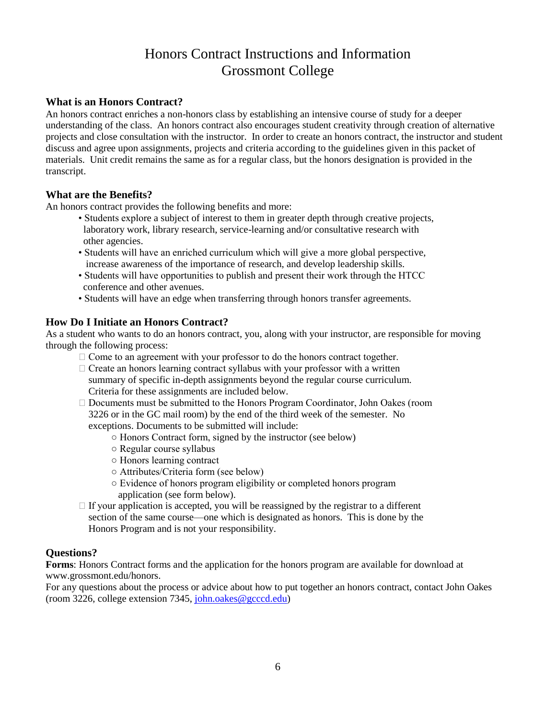## Honors Contract Instructions and Information Grossmont College

## **What is an Honors Contract?**

An honors contract enriches a non-honors class by establishing an intensive course of study for a deeper understanding of the class. An honors contract also encourages student creativity through creation of alternative projects and close consultation with the instructor. In order to create an honors contract, the instructor and student discuss and agree upon assignments, projects and criteria according to the guidelines given in this packet of materials. Unit credit remains the same as for a regular class, but the honors designation is provided in the transcript.

#### **What are the Benefits?**

An honors contract provides the following benefits and more:

- Students explore a subject of interest to them in greater depth through creative projects, laboratory work, library research, service-learning and/or consultative research with other agencies.
- Students will have an enriched curriculum which will give a more global perspective, increase awareness of the importance of research, and develop leadership skills.
- Students will have opportunities to publish and present their work through the HTCC conference and other avenues.
- Students will have an edge when transferring through honors transfer agreements.

## **How Do I Initiate an Honors Contract?**

As a student who wants to do an honors contract, you, along with your instructor, are responsible for moving through the following process:

- $\Box$  Come to an agreement with your professor to do the honors contract together.
- $\Box$  Create an honors learning contract syllabus with your professor with a written summary of specific in-depth assignments beyond the regular course curriculum. Criteria for these assignments are included below.
- Documents must be submitted to the Honors Program Coordinator, John Oakes (room 3226 or in the GC mail room) by the end of the third week of the semester. No exceptions. Documents to be submitted will include:
	- Honors Contract form, signed by the instructor (see below)
		- Regular course syllabus
		- Honors learning contract
		- Attributes/Criteria form (see below)
		- Evidence of honors program eligibility or completed honors program application (see form below).
- $\Box$  If your application is accepted, you will be reassigned by the registrar to a different section of the same course—one which is designated as honors. This is done by the Honors Program and is not your responsibility.

#### **Questions?**

**Forms**: Honors Contract forms and the application for the honors program are available for download at www.grossmont.edu/honors.

For any questions about the process or advice about how to put together an honors contract, contact John Oakes (room 3226, college extension 7345, [john.oakes@gcccd.edu\)](mailto:john.oakes@gcccd.edu)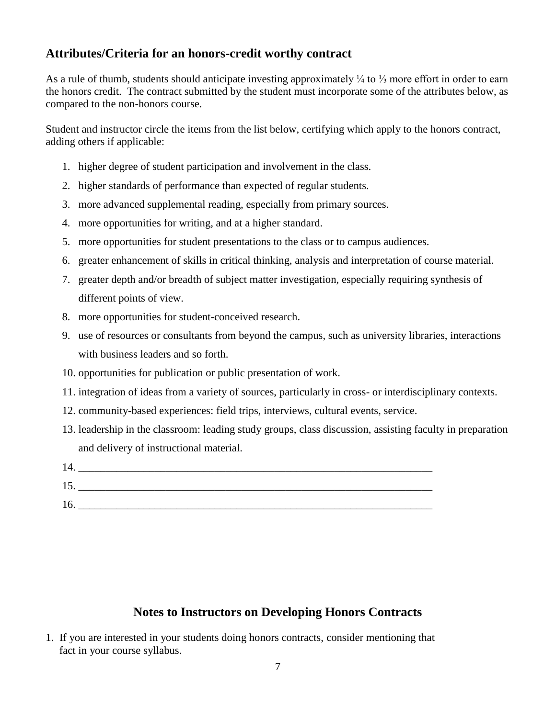## **Attributes/Criteria for an honors-credit worthy contract**

As a rule of thumb, students should anticipate investing approximately ¼ to ⅓ more effort in order to earn the honors credit. The contract submitted by the student must incorporate some of the attributes below, as compared to the non-honors course.

Student and instructor circle the items from the list below, certifying which apply to the honors contract, adding others if applicable:

- 1. higher degree of student participation and involvement in the class.
- 2. higher standards of performance than expected of regular students.
- 3. more advanced supplemental reading, especially from primary sources.
- 4. more opportunities for writing, and at a higher standard.
- 5. more opportunities for student presentations to the class or to campus audiences.
- 6. greater enhancement of skills in critical thinking, analysis and interpretation of course material.
- 7. greater depth and/or breadth of subject matter investigation, especially requiring synthesis of different points of view.
- 8. more opportunities for student-conceived research.
- 9. use of resources or consultants from beyond the campus, such as university libraries, interactions with business leaders and so forth.
- 10. opportunities for publication or public presentation of work.
- 11. integration of ideas from a variety of sources, particularly in cross- or interdisciplinary contexts.
- 12. community-based experiences: field trips, interviews, cultural events, service.
- 13. leadership in the classroom: leading study groups, class discussion, assisting faculty in preparation and delivery of instructional material.

| 14 |  |
|----|--|
| 15 |  |
| 16 |  |

## **Notes to Instructors on Developing Honors Contracts**

1. If you are interested in your students doing honors contracts, consider mentioning that fact in your course syllabus.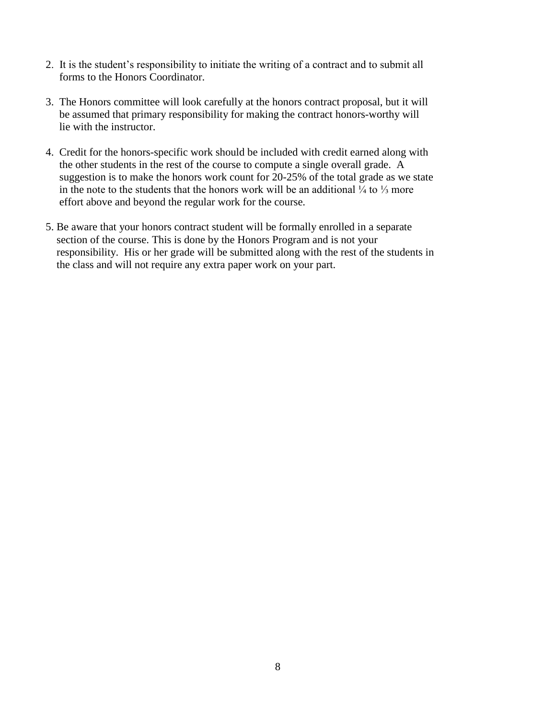- 2. It is the student's responsibility to initiate the writing of a contract and to submit all forms to the Honors Coordinator.
- 3. The Honors committee will look carefully at the honors contract proposal, but it will be assumed that primary responsibility for making the contract honors-worthy will lie with the instructor.
- 4. Credit for the honors-specific work should be included with credit earned along with the other students in the rest of the course to compute a single overall grade. A suggestion is to make the honors work count for 20-25% of the total grade as we state in the note to the students that the honors work will be an additional  $\frac{1}{4}$  to  $\frac{1}{3}$  more effort above and beyond the regular work for the course.
- 5. Be aware that your honors contract student will be formally enrolled in a separate section of the course. This is done by the Honors Program and is not your responsibility. His or her grade will be submitted along with the rest of the students in the class and will not require any extra paper work on your part.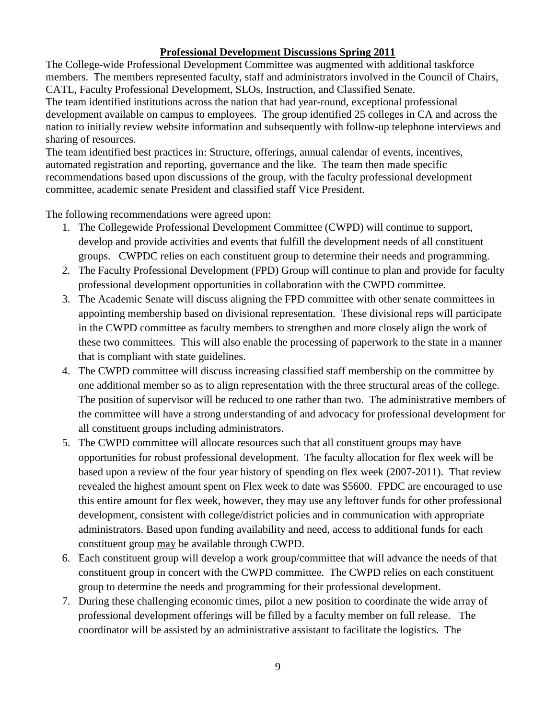## **Professional Development Discussions Spring 2011**

The College-wide Professional Development Committee was augmented with additional taskforce members. The members represented faculty, staff and administrators involved in the Council of Chairs, CATL, Faculty Professional Development, SLOs, Instruction, and Classified Senate. The team identified institutions across the nation that had year-round, exceptional professional development available on campus to employees. The group identified 25 colleges in CA and across the nation to initially review website information and subsequently with follow-up telephone interviews and sharing of resources.

The team identified best practices in: Structure, offerings, annual calendar of events, incentives, automated registration and reporting, governance and the like. The team then made specific recommendations based upon discussions of the group, with the faculty professional development committee, academic senate President and classified staff Vice President.

The following recommendations were agreed upon:

- 1. The Collegewide Professional Development Committee (CWPD) will continue to support, develop and provide activities and events that fulfill the development needs of all constituent groups. CWPDC relies on each constituent group to determine their needs and programming.
- 2. The Faculty Professional Development (FPD) Group will continue to plan and provide for faculty professional development opportunities in collaboration with the CWPD committee.
- 3. The Academic Senate will discuss aligning the FPD committee with other senate committees in appointing membership based on divisional representation. These divisional reps will participate in the CWPD committee as faculty members to strengthen and more closely align the work of these two committees. This will also enable the processing of paperwork to the state in a manner that is compliant with state guidelines.
- 4. The CWPD committee will discuss increasing classified staff membership on the committee by one additional member so as to align representation with the three structural areas of the college. The position of supervisor will be reduced to one rather than two. The administrative members of the committee will have a strong understanding of and advocacy for professional development for all constituent groups including administrators.
- 5. The CWPD committee will allocate resources such that all constituent groups may have opportunities for robust professional development. The faculty allocation for flex week will be based upon a review of the four year history of spending on flex week (2007-2011). That review revealed the highest amount spent on Flex week to date was \$5600. FPDC are encouraged to use this entire amount for flex week, however, they may use any leftover funds for other professional development, consistent with college/district policies and in communication with appropriate administrators. Based upon funding availability and need, access to additional funds for each constituent group may be available through CWPD.
- 6. Each constituent group will develop a work group/committee that will advance the needs of that constituent group in concert with the CWPD committee. The CWPD relies on each constituent group to determine the needs and programming for their professional development.
- 7. During these challenging economic times, pilot a new position to coordinate the wide array of professional development offerings will be filled by a faculty member on full release. The coordinator will be assisted by an administrative assistant to facilitate the logistics. The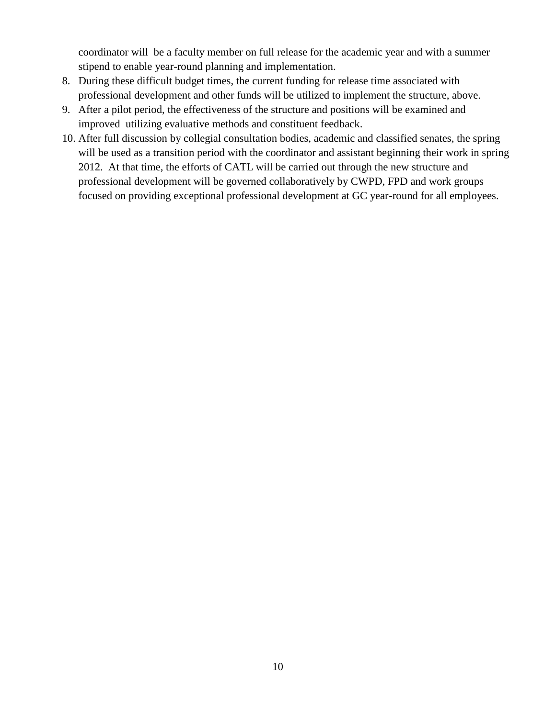coordinator will be a faculty member on full release for the academic year and with a summer stipend to enable year-round planning and implementation.

- 8. During these difficult budget times, the current funding for release time associated with professional development and other funds will be utilized to implement the structure, above.
- 9. After a pilot period, the effectiveness of the structure and positions will be examined and improved utilizing evaluative methods and constituent feedback.
- 10. After full discussion by collegial consultation bodies, academic and classified senates, the spring will be used as a transition period with the coordinator and assistant beginning their work in spring 2012. At that time, the efforts of CATL will be carried out through the new structure and professional development will be governed collaboratively by CWPD, FPD and work groups focused on providing exceptional professional development at GC year-round for all employees.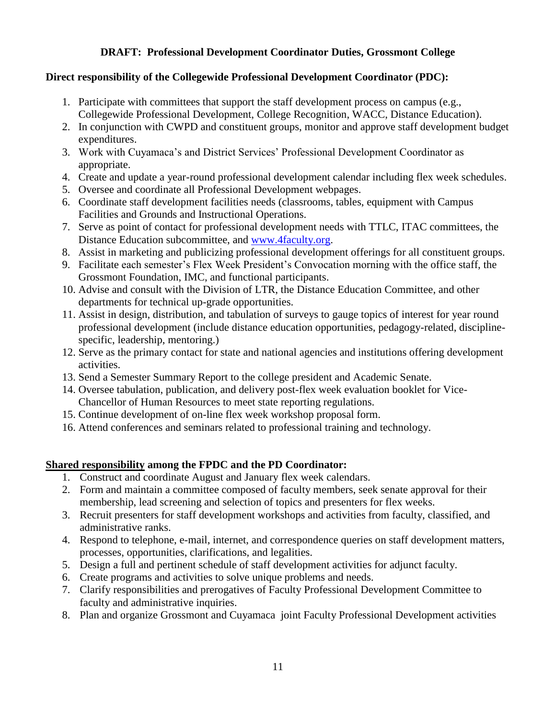## **DRAFT: Professional Development Coordinator Duties, Grossmont College**

#### **Direct responsibility of the Collegewide Professional Development Coordinator (PDC):**

- 1. Participate with committees that support the staff development process on campus (e.g., Collegewide Professional Development, College Recognition, WACC, Distance Education).
- 2. In conjunction with CWPD and constituent groups, monitor and approve staff development budget expenditures.
- 3. Work with Cuyamaca's and District Services' Professional Development Coordinator as appropriate.
- 4. Create and update a year-round professional development calendar including flex week schedules.
- 5. Oversee and coordinate all Professional Development webpages.
- 6. Coordinate staff development facilities needs (classrooms, tables, equipment with Campus Facilities and Grounds and Instructional Operations.
- 7. Serve as point of contact for professional development needs with TTLC, ITAC committees, the Distance Education subcommittee, and [www.4faculty.org.](http://www.4faculty.org/)
- 8. Assist in marketing and publicizing professional development offerings for all constituent groups.
- 9. Facilitate each semester's Flex Week President's Convocation morning with the office staff, the Grossmont Foundation, IMC, and functional participants.
- 10. Advise and consult with the Division of LTR, the Distance Education Committee, and other departments for technical up-grade opportunities.
- 11. Assist in design, distribution, and tabulation of surveys to gauge topics of interest for year round professional development (include distance education opportunities, pedagogy-related, disciplinespecific, leadership, mentoring.)
- 12. Serve as the primary contact for state and national agencies and institutions offering development activities.
- 13. Send a Semester Summary Report to the college president and Academic Senate.
- 14. Oversee tabulation, publication, and delivery post-flex week evaluation booklet for Vice-Chancellor of Human Resources to meet state reporting regulations.
- 15. Continue development of on-line flex week workshop proposal form.
- 16. Attend conferences and seminars related to professional training and technology.

## **Shared responsibility among the FPDC and the PD Coordinator:**

- 1. Construct and coordinate August and January flex week calendars.
- 2. Form and maintain a committee composed of faculty members, seek senate approval for their membership, lead screening and selection of topics and presenters for flex weeks.
- 3. Recruit presenters for staff development workshops and activities from faculty, classified, and administrative ranks.
- 4. Respond to telephone, e-mail, internet, and correspondence queries on staff development matters, processes, opportunities, clarifications, and legalities.
- 5. Design a full and pertinent schedule of staff development activities for adjunct faculty.
- 6. Create programs and activities to solve unique problems and needs.
- 7. Clarify responsibilities and prerogatives of Faculty Professional Development Committee to faculty and administrative inquiries.
- 8. Plan and organize Grossmont and Cuyamaca joint Faculty Professional Development activities